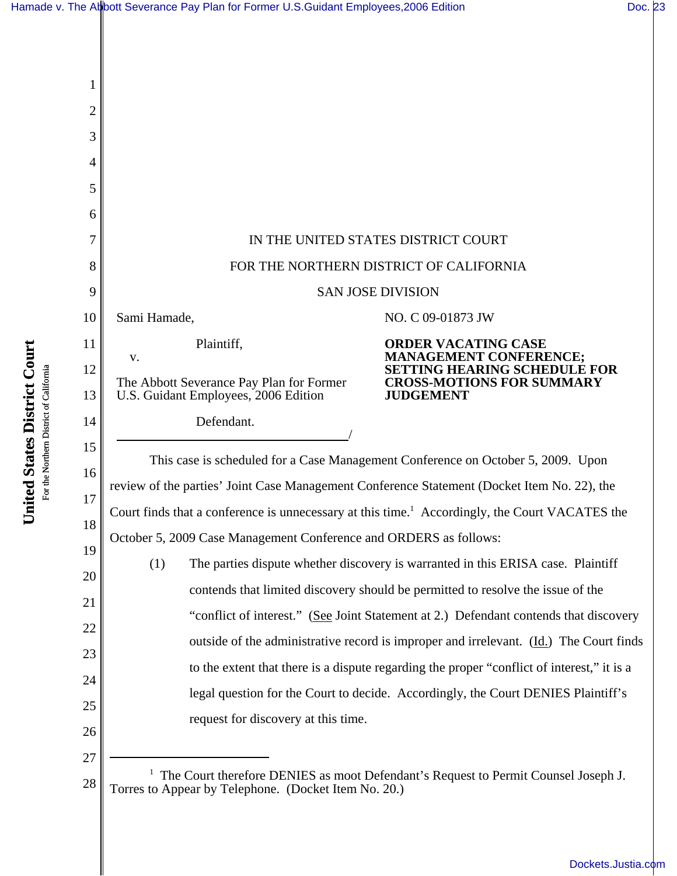| 1        |                                                                                                                                            |                                                                                      |  |
|----------|--------------------------------------------------------------------------------------------------------------------------------------------|--------------------------------------------------------------------------------------|--|
| 2        |                                                                                                                                            |                                                                                      |  |
| 3        |                                                                                                                                            |                                                                                      |  |
| 4        |                                                                                                                                            |                                                                                      |  |
| 5        |                                                                                                                                            |                                                                                      |  |
| 6        |                                                                                                                                            |                                                                                      |  |
| 7        | IN THE UNITED STATES DISTRICT COURT                                                                                                        |                                                                                      |  |
| 8        | FOR THE NORTHERN DISTRICT OF CALIFORNIA                                                                                                    |                                                                                      |  |
| 9        | <b>SAN JOSE DIVISION</b>                                                                                                                   |                                                                                      |  |
| 10       | Sami Hamade,                                                                                                                               | NO. C 09-01873 JW                                                                    |  |
| 11       | Plaintiff,<br>V.                                                                                                                           | <b>ORDER VACATING CASE</b><br><b>MANAGEMENT CONFERENCE;</b>                          |  |
| 12<br>13 | The Abbott Severance Pay Plan for Former<br>U.S. Guidant Employees, 2006 Edition                                                           | SETTING HEARING SCHEDULE FOR<br><b>CROSS-MOTIONS FOR SUMMARY</b><br><b>JUDGEMENT</b> |  |
| 14       | Defendant.                                                                                                                                 |                                                                                      |  |
| 15       | This case is scheduled for a Case Management Conference on October 5, 2009. Upon                                                           |                                                                                      |  |
| 16       | review of the parties' Joint Case Management Conference Statement (Docket Item No. 22), the                                                |                                                                                      |  |
| 17       | Court finds that a conference is unnecessary at this time. <sup>1</sup> Accordingly, the Court VACATES the                                 |                                                                                      |  |
| 18       | October 5, 2009 Case Management Conference and ORDERS as follows:                                                                          |                                                                                      |  |
| 19       | The parties dispute whether discovery is warranted in this ERISA case. Plaintiff<br>(1)                                                    |                                                                                      |  |
| 20       | contends that limited discovery should be permitted to resolve the issue of the                                                            |                                                                                      |  |
| 21       | "conflict of interest." (See Joint Statement at 2.) Defendant contends that discovery                                                      |                                                                                      |  |
| 22       | outside of the administrative record is improper and irrelevant. (Id.) The Court finds                                                     |                                                                                      |  |
| 23       | to the extent that there is a dispute regarding the proper "conflict of interest," it is a                                                 |                                                                                      |  |
| 24<br>25 |                                                                                                                                            | legal question for the Court to decide. Accordingly, the Court DENIES Plaintiff's    |  |
| 26       | request for discovery at this time.                                                                                                        |                                                                                      |  |
| 27       |                                                                                                                                            |                                                                                      |  |
| 28       | The Court therefore DENIES as moot Defendant's Request to Permit Counsel Joseph J.<br>Torres to Appear by Telephone. (Docket Item No. 20.) |                                                                                      |  |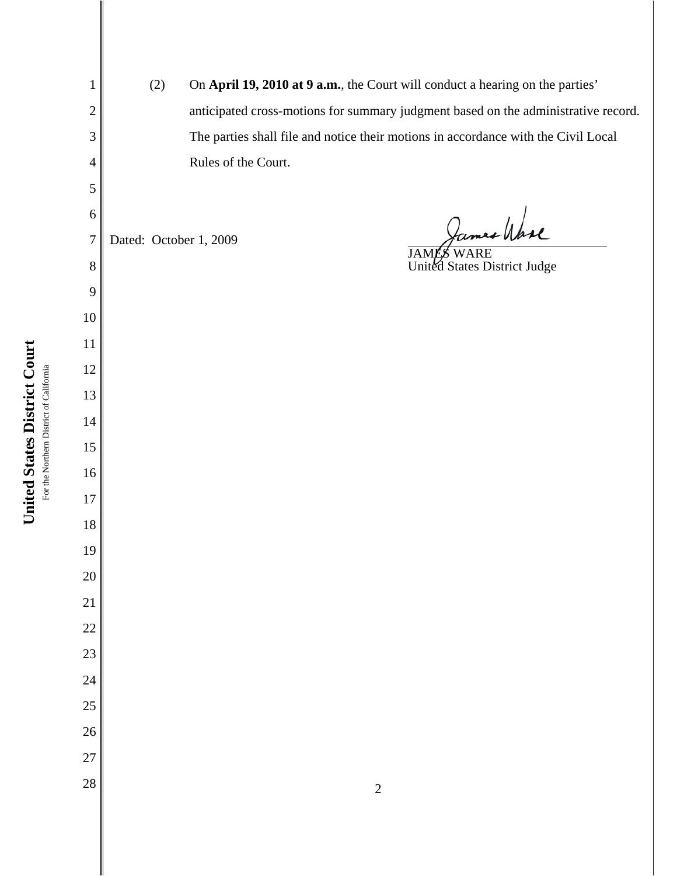For the Northern District of California For the Northern District of California

**United States District Court**

United States District Court

(2) On **April 19, 2010 at 9 a.m.**, the Court will conduct a hearing on the parties' anticipated cross-motions for summary judgment based on the administrative record. The parties shall file and notice their motions in accordance with the Civil Local Rules of the Court. James Wase Dated: October 1, 2009 JAMÉS WARE United States District Judge  $\begin{array}{|c|c|c|c|c|}\n \hline\n 28 & 2 \\
\hline\n \end{array}$